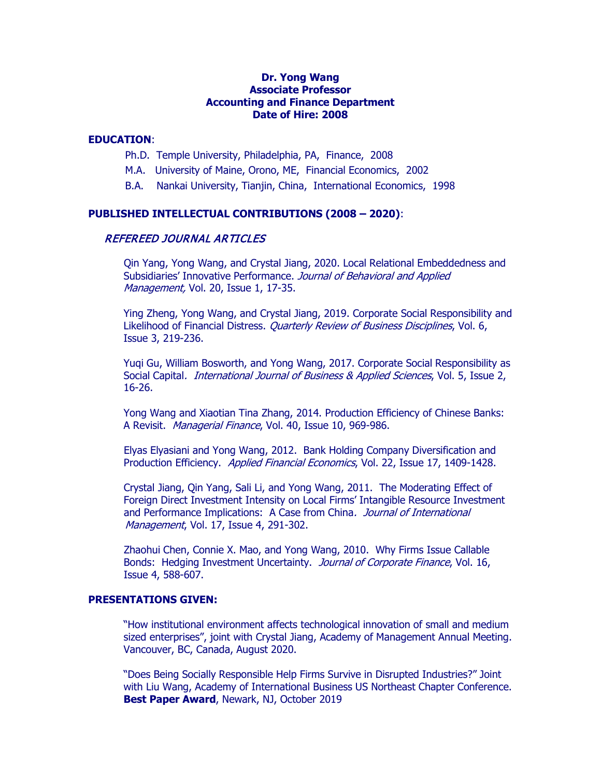# **Dr. Yong Wang Associate Professor Accounting and Finance Department Date of Hire: 2008**

# **EDUCATION**:

- Ph.D. Temple University, Philadelphia, PA, Finance, 2008
- M.A. University of Maine, Orono, ME, Financial Economics, 2002
- B.A. Nankai University, Tianjin, China, International Economics, 1998

# **PUBLISHED INTELLECTUAL CONTRIBUTIONS (2008 – 2020)**:

# REFEREED JOURNAL ARTICLES

 Qin Yang, Yong Wang, and Crystal Jiang, 2020. Local Relational Embeddedness and Subsidiaries' Innovative Performance. Journal of Behavioral and Applied Management, Vol. 20, Issue 1, 17-35.

Ying Zheng, Yong Wang, and Crystal Jiang, 2019. Corporate Social Responsibility and Likelihood of Financial Distress. *Quarterly Review of Business Disciplines*, Vol. 6, Issue 3, 219-236.

Yuqi Gu, William Bosworth, and Yong Wang, 2017. Corporate Social Responsibility as Social Capital. International Journal of Business & Applied Sciences, Vol. 5, Issue 2, 16-26.

Yong Wang and Xiaotian Tina Zhang, 2014. Production Efficiency of Chinese Banks: A Revisit. Managerial Finance, Vol. 40, Issue 10, 969-986.

 Elyas Elyasiani and Yong Wang, 2012. Bank Holding Company Diversification and Production Efficiency. Applied Financial Economics, Vol. 22, Issue 17, 1409-1428.

 Crystal Jiang, Qin Yang, Sali Li, and Yong Wang, 2011. The Moderating Effect of Foreign Direct Investment Intensity on Local Firms' Intangible Resource Investment and Performance Implications: A Case from China. Journal of International Management, Vol. 17, Issue 4, 291-302.

 Zhaohui Chen, Connie X. Mao, and Yong Wang, 2010. Why Firms Issue Callable Bonds: Hedging Investment Uncertainty. Journal of Corporate Finance, Vol. 16, Issue 4, 588-607.

# **PRESENTATIONS GIVEN:**

"How institutional environment affects technological innovation of small and medium sized enterprises", joint with Crystal Jiang, Academy of Management Annual Meeting. Vancouver, BC, Canada, August 2020.

"Does Being Socially Responsible Help Firms Survive in Disrupted Industries?" Joint with Liu Wang, Academy of International Business US Northeast Chapter Conference. **Best Paper Award**, Newark, NJ, October 2019